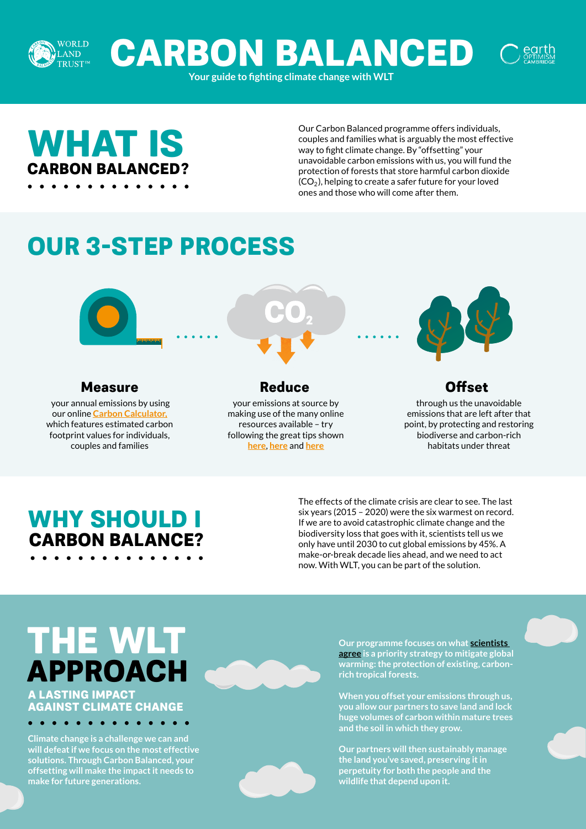

**CARBON BALANCED**

**Your guide to fighting climate change with WLT** 

# **WHAT IS CARBON BALANCED?**

Our Carbon Balanced programme offers individuals, couples and families what is arguably the most effective way to fight climate change. By "offsetting" your unavoidable carbon emissions with us, you will fund the protection of forests that store harmful carbon dioxide  $\mathsf{(CO_2)}$ , helping to create a safer future for your loved ones and those who will come after them.

# **OUR 3-STEP PROCESS**



## **Measure Reduce Offset**

 your annual emissions by using our online **[Carbon Calculator,](https://www.worldlandtrust.org/carbon-calculator/individual/)** which features estimated carbon footprint values for individuals, couples and families

your emissions at source by making use of the many online resources available – try following the great tips shown **[here](https://www.wired.co.uk/article/reduce-carbon-footprint)**, **[here](https://blogs.ei.columbia.edu/2018/12/27/35-ways-reduce-carbon-footprint/)** and **[here](https://www.bbc.co.uk/news/science-environment-52719662)**

through us the unavoidable emissions that are left after that point, by protecting and restoring biodiverse and carbon-rich habitats under threat

## **WHY SHOULD I CARBON BALANCE?**

The effects of the climate crisis are clear to see. The last six years (2015 – 2020) were the six warmest on record. If we are to avoid catastrophic climate change and the biodiversity loss that goes with it, scientists tell us we only have until 2030 to cut global emissions by 45%. A make-or-break decade lies ahead, and we need to act now. With WLT, you can be part of the solution.

## **A LASTING IMPACT THE WLT APPROACH**

## **AGAINST CLIMATE CHANGE**

. . . . . . . . . . .

**Climate change is a challenge we can and will defeat if we focus on the most effective solutions. Through Carbon Balanced, your offsetting will make the impact it needs to make for future generations.** 

**Our programme focuses on what [scientists](https://unfccc.int/news/preserving-tropical-forests-key-to-tackle-climate-change?utm_source=Scott+-+test+-+amount&utm_campaign=c664a2fc77-EMAIL_CAMPAIGN_2019_11_29_11_25_COPY_01&utm_medium=email&utm_term=0_e9423ed575-c664a2fc77-)  [agree](https://unfccc.int/news/preserving-tropical-forests-key-to-tackle-climate-change?utm_source=Scott+-+test+-+amount&utm_campaign=c664a2fc77-EMAIL_CAMPAIGN_2019_11_29_11_25_COPY_01&utm_medium=email&utm_term=0_e9423ed575-c664a2fc77-) is a priority strategy to mitigate global warming: the protection of existing, carbonrich tropical forests.**

**When you offset your emissions through us, you allow our partners to save land and lock huge volumes of carbon within mature trees and the soil in which they grow.** 

**Our partners will then sustainably manage the land you've saved, preserving it in perpetuity for both the people and the wildlife that depend upon it.**